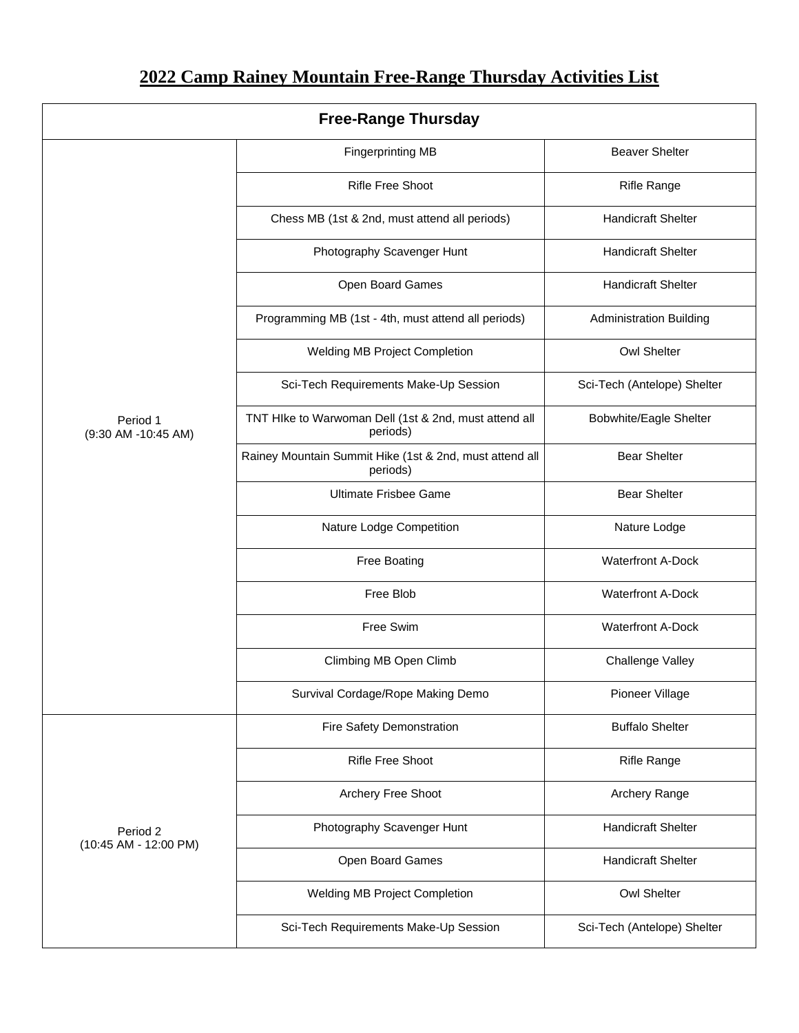## **2022 Camp Rainey Mountain Free-Range Thursday Activities List**

| <b>Free-Range Thursday</b>        |                                                                     |                                |  |  |
|-----------------------------------|---------------------------------------------------------------------|--------------------------------|--|--|
| Period 1<br>(9:30 AM -10:45 AM)   | <b>Fingerprinting MB</b>                                            | <b>Beaver Shelter</b>          |  |  |
|                                   | <b>Rifle Free Shoot</b>                                             | <b>Rifle Range</b>             |  |  |
|                                   | Chess MB (1st & 2nd, must attend all periods)                       | <b>Handicraft Shelter</b>      |  |  |
|                                   | Photography Scavenger Hunt                                          | <b>Handicraft Shelter</b>      |  |  |
|                                   | Open Board Games                                                    | <b>Handicraft Shelter</b>      |  |  |
|                                   | Programming MB (1st - 4th, must attend all periods)                 | <b>Administration Building</b> |  |  |
|                                   | Welding MB Project Completion                                       | <b>Owl Shelter</b>             |  |  |
|                                   | Sci-Tech Requirements Make-Up Session                               | Sci-Tech (Antelope) Shelter    |  |  |
|                                   | TNT HIke to Warwoman Dell (1st & 2nd, must attend all<br>periods)   | <b>Bobwhite/Eagle Shelter</b>  |  |  |
|                                   | Rainey Mountain Summit Hike (1st & 2nd, must attend all<br>periods) | <b>Bear Shelter</b>            |  |  |
|                                   | <b>Ultimate Frisbee Game</b>                                        | <b>Bear Shelter</b>            |  |  |
|                                   | Nature Lodge Competition                                            | Nature Lodge                   |  |  |
|                                   | <b>Free Boating</b>                                                 | <b>Waterfront A-Dock</b>       |  |  |
|                                   | Free Blob                                                           | <b>Waterfront A-Dock</b>       |  |  |
|                                   | Free Swim                                                           | <b>Waterfront A-Dock</b>       |  |  |
|                                   | Climbing MB Open Climb                                              | Challenge Valley               |  |  |
|                                   | Survival Cordage/Rope Making Demo                                   | Pioneer Village                |  |  |
| Period 2<br>(10:45 AM - 12:00 PM) | Fire Safety Demonstration                                           | <b>Buffalo Shelter</b>         |  |  |
|                                   | <b>Rifle Free Shoot</b>                                             | <b>Rifle Range</b>             |  |  |
|                                   | Archery Free Shoot                                                  | Archery Range                  |  |  |
|                                   | Photography Scavenger Hunt                                          | <b>Handicraft Shelter</b>      |  |  |
|                                   | Open Board Games                                                    | <b>Handicraft Shelter</b>      |  |  |
|                                   | Welding MB Project Completion                                       | <b>Owl Shelter</b>             |  |  |
|                                   | Sci-Tech Requirements Make-Up Session                               | Sci-Tech (Antelope) Shelter    |  |  |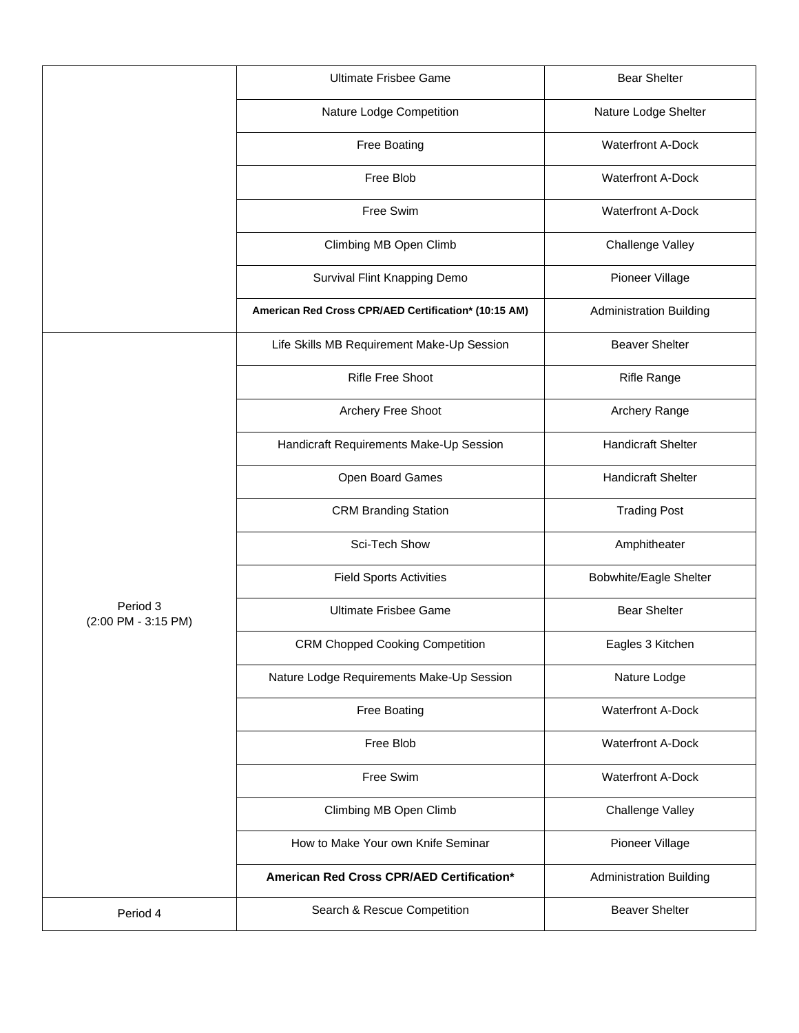|                                 | <b>Ultimate Frisbee Game</b>                         | <b>Bear Shelter</b>            |
|---------------------------------|------------------------------------------------------|--------------------------------|
|                                 | Nature Lodge Competition                             | Nature Lodge Shelter           |
|                                 | Free Boating                                         | <b>Waterfront A-Dock</b>       |
|                                 | Free Blob                                            | <b>Waterfront A-Dock</b>       |
|                                 | Free Swim                                            | <b>Waterfront A-Dock</b>       |
|                                 | Climbing MB Open Climb                               | Challenge Valley               |
|                                 | Survival Flint Knapping Demo                         | Pioneer Village                |
|                                 | American Red Cross CPR/AED Certification* (10:15 AM) | <b>Administration Building</b> |
| Period 3<br>(2:00 PM - 3:15 PM) | Life Skills MB Requirement Make-Up Session           | <b>Beaver Shelter</b>          |
|                                 | <b>Rifle Free Shoot</b>                              | <b>Rifle Range</b>             |
|                                 | Archery Free Shoot                                   | Archery Range                  |
|                                 | Handicraft Requirements Make-Up Session              | <b>Handicraft Shelter</b>      |
|                                 | Open Board Games                                     | <b>Handicraft Shelter</b>      |
|                                 | <b>CRM Branding Station</b>                          | <b>Trading Post</b>            |
|                                 | Sci-Tech Show                                        | Amphitheater                   |
|                                 | <b>Field Sports Activities</b>                       | Bobwhite/Eagle Shelter         |
|                                 | <b>Ultimate Frisbee Game</b>                         | <b>Bear Shelter</b>            |
|                                 | <b>CRM Chopped Cooking Competition</b>               | Eagles 3 Kitchen               |
|                                 | Nature Lodge Requirements Make-Up Session            | Nature Lodge                   |
|                                 | <b>Free Boating</b>                                  | <b>Waterfront A-Dock</b>       |
|                                 | Free Blob                                            | <b>Waterfront A-Dock</b>       |
|                                 | Free Swim                                            | <b>Waterfront A-Dock</b>       |
|                                 | Climbing MB Open Climb                               | Challenge Valley               |
|                                 | How to Make Your own Knife Seminar                   | Pioneer Village                |
|                                 | American Red Cross CPR/AED Certification*            | <b>Administration Building</b> |
| Period 4                        | Search & Rescue Competition                          | <b>Beaver Shelter</b>          |